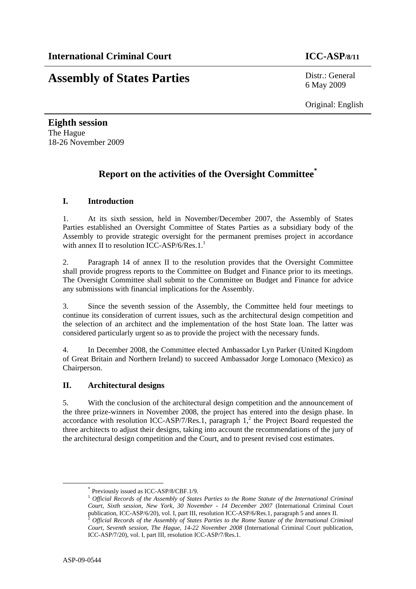# **Assembly of States Parties** Distr.: General

6 May 2009

Original: English

**Eighth session**  The Hague 18-26 November 2009

## **Report on the activities of the Oversight Committee\***

### **I. Introduction**

1. At its sixth session, held in November/December 2007, the Assembly of States Parties established an Oversight Committee of States Parties as a subsidiary body of the Assembly to provide strategic oversight for the permanent premises project in accordance with annex II to resolution ICC-ASP/6/Res.1.<sup>1</sup>

2. Paragraph 14 of annex II to the resolution provides that the Oversight Committee shall provide progress reports to the Committee on Budget and Finance prior to its meetings. The Oversight Committee shall submit to the Committee on Budget and Finance for advice any submissions with financial implications for the Assembly.

3. Since the seventh session of the Assembly, the Committee held four meetings to continue its consideration of current issues, such as the architectural design competition and the selection of an architect and the implementation of the host State loan. The latter was considered particularly urgent so as to provide the project with the necessary funds.

4. In December 2008, the Committee elected Ambassador Lyn Parker (United Kingdom of Great Britain and Northern Ireland) to succeed Ambassador Jorge Lomonaco (Mexico) as Chairperson.

### **II. Architectural designs**

5. With the conclusion of the architectural design competition and the announcement of the three prize-winners in November 2008, the project has entered into the design phase. In accordance with resolution ICC-ASP/7/Res.1, paragraph  $1<sup>2</sup>$ , the Project Board requested the three architects to adjust their designs, taking into account the recommendations of the jury of the architectural design competition and the Court, and to present revised cost estimates.

 <sup>\*</sup> Previously issued as ICC-ASP/8/CBF.1/9.

<sup>&</sup>lt;sup>1</sup> Official Records of the Assembly of States Parties to the Rome Statute of the International Criminal *Court, Sixth session, New York, 30 November - 14 December 2007* (International Criminal Court publication, ICC-ASP/6/20), vol. I, part III, resolution ICC-ASP/6/Res.1, paragraph 5 and annex II.<br><sup>2</sup> *Official Records of the Assembly of States Parties to the Rome Statute of the International Criminal Court, Seventh session, The Hague, 14-22 November 2008* (International Criminal Court publication, ICC-ASP/7/20), vol. I, part III, resolution ICC-ASP/7/Res.1.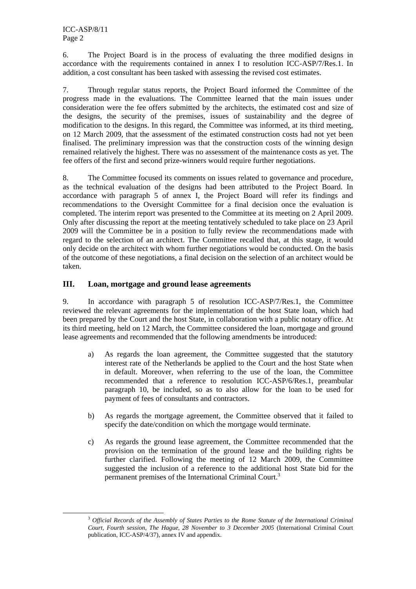6. The Project Board is in the process of evaluating the three modified designs in accordance with the requirements contained in annex I to resolution ICC-ASP/7/Res.1. In addition, a cost consultant has been tasked with assessing the revised cost estimates.

7. Through regular status reports, the Project Board informed the Committee of the progress made in the evaluations. The Committee learned that the main issues under consideration were the fee offers submitted by the architects, the estimated cost and size of the designs, the security of the premises, issues of sustainability and the degree of modification to the designs. In this regard, the Committee was informed, at its third meeting, on 12 March 2009, that the assessment of the estimated construction costs had not yet been finalised. The preliminary impression was that the construction costs of the winning design remained relatively the highest. There was no assessment of the maintenance costs as yet. The fee offers of the first and second prize-winners would require further negotiations.

8. The Committee focused its comments on issues related to governance and procedure, as the technical evaluation of the designs had been attributed to the Project Board. In accordance with paragraph 5 of annex I, the Project Board will refer its findings and recommendations to the Oversight Committee for a final decision once the evaluation is completed. The interim report was presented to the Committee at its meeting on 2 April 2009. Only after discussing the report at the meeting tentatively scheduled to take place on 23 April 2009 will the Committee be in a position to fully review the recommendations made with regard to the selection of an architect. The Committee recalled that, at this stage, it would only decide on the architect with whom further negotiations would be conducted. On the basis of the outcome of these negotiations, a final decision on the selection of an architect would be taken.

#### **III. Loan, mortgage and ground lease agreements**

9. In accordance with paragraph 5 of resolution ICC-ASP/7/Res.1, the Committee reviewed the relevant agreements for the implementation of the host State loan, which had been prepared by the Court and the host State, in collaboration with a public notary office. At its third meeting, held on 12 March, the Committee considered the loan, mortgage and ground lease agreements and recommended that the following amendments be introduced:

- a) As regards the loan agreement, the Committee suggested that the statutory interest rate of the Netherlands be applied to the Court and the host State when in default. Moreover, when referring to the use of the loan, the Committee recommended that a reference to resolution ICC-ASP/6/Res.1, preambular paragraph 10, be included, so as to also allow for the loan to be used for payment of fees of consultants and contractors.
- b) As regards the mortgage agreement, the Committee observed that it failed to specify the date/condition on which the mortgage would terminate.
- c) As regards the ground lease agreement, the Committee recommended that the provision on the termination of the ground lease and the building rights be further clarified. Following the meeting of 12 March 2009, the Committee suggested the inclusion of a reference to the additional host State bid for the permanent premises of the International Criminal Court.<sup>3</sup>

 $\frac{3}{3}$  *Official Records of the Assembly of States Parties to the Rome Statute of the International Criminal Court, Fourth session, The Hague, 28 November to 3 December 2005* (International Criminal Court publication, ICC-ASP/4/37), annex IV and appendix.